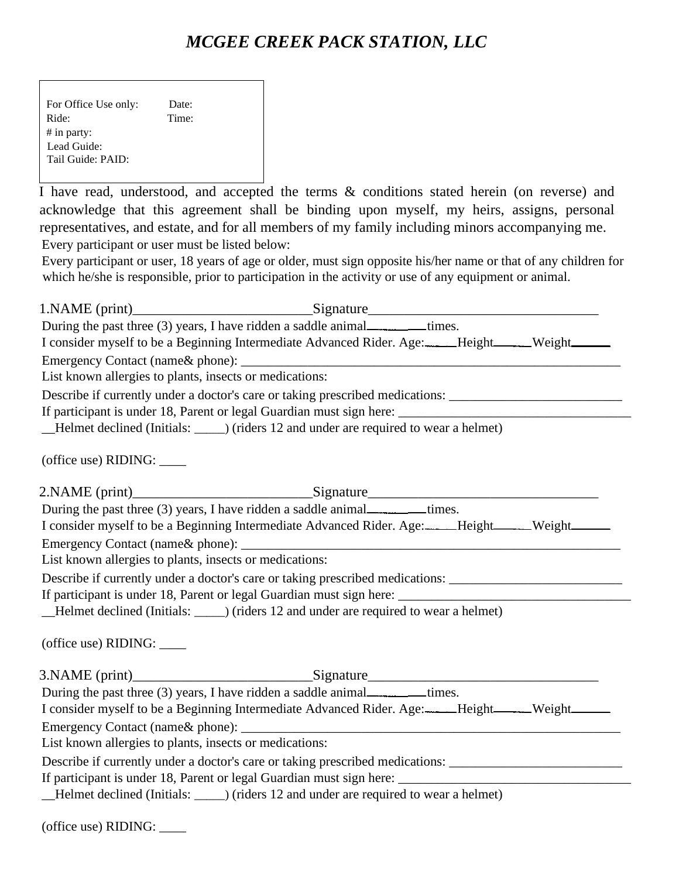### *MCGEE CREEK PACK STATION, LLC*

Г

I have read, understood, and accepted the terms & conditions stated herein (on reverse) and acknowledge that this agreement shall be binding upon myself, my heirs, assigns, personal representatives, and estate, and for all members of my family including minors accompanying me. Every participant or user must be listed below:

Every participant or user, 18 years of age or older, must sign opposite his/her name or that of any children for which he/she is responsible, prior to participation in the activity or use of any equipment or animal.

|                                                         | During the past three (3) years, I have ridden a saddle animal________times.                                                                                                                    |  |
|---------------------------------------------------------|-------------------------------------------------------------------------------------------------------------------------------------------------------------------------------------------------|--|
|                                                         | I consider myself to be a Beginning Intermediate Advanced Rider. Age: ____Height_____Weight______                                                                                               |  |
|                                                         |                                                                                                                                                                                                 |  |
| List known allergies to plants, insects or medications: |                                                                                                                                                                                                 |  |
|                                                         | Describe if currently under a doctor's care or taking prescribed medications: ______________________                                                                                            |  |
|                                                         | If participant is under 18, Parent or legal Guardian must sign here: _______________________________<br>_Helmet declined (Initials: ______) (riders 12 and under are required to wear a helmet) |  |
|                                                         |                                                                                                                                                                                                 |  |
| (office use) RIDING: ____                               |                                                                                                                                                                                                 |  |
|                                                         | 2.NAME (print)_________________________________Signature_________________________                                                                                                               |  |
|                                                         | During the past three (3) years, I have ridden a saddle animal________times.                                                                                                                    |  |
|                                                         | I consider myself to be a Beginning Intermediate Advanced Rider. Age: ____Height_____Weight_____                                                                                                |  |
|                                                         |                                                                                                                                                                                                 |  |
| List known allergies to plants, insects or medications: |                                                                                                                                                                                                 |  |
|                                                         | Describe if currently under a doctor's care or taking prescribed medications: ______________________                                                                                            |  |
|                                                         |                                                                                                                                                                                                 |  |
|                                                         | _Helmet declined (Initials: ______) (riders 12 and under are required to wear a helmet)                                                                                                         |  |
| (office use) RIDING: ____                               |                                                                                                                                                                                                 |  |
|                                                         |                                                                                                                                                                                                 |  |
|                                                         |                                                                                                                                                                                                 |  |
|                                                         | I consider myself to be a Beginning Intermediate Advanced Rider. Age: ____Height_____Weight_____                                                                                                |  |
|                                                         |                                                                                                                                                                                                 |  |
| List known allergies to plants, insects or medications: |                                                                                                                                                                                                 |  |
|                                                         | Describe if currently under a doctor's care or taking prescribed medications: ______________________                                                                                            |  |
|                                                         |                                                                                                                                                                                                 |  |
|                                                         | _Helmet declined (Initials: ______) (riders 12 and under are required to wear a helmet)                                                                                                         |  |
| (office use) RIDING:                                    |                                                                                                                                                                                                 |  |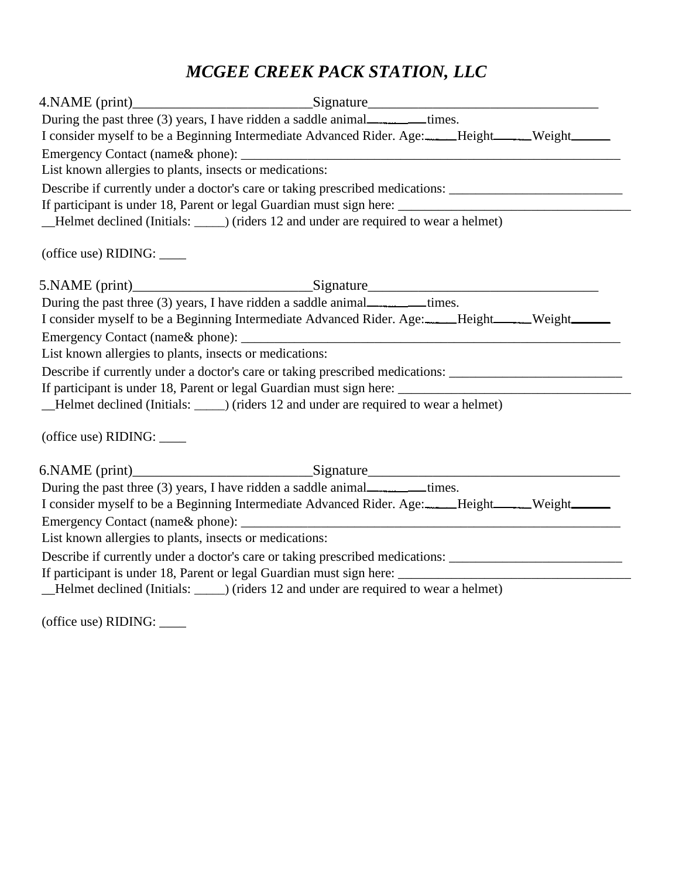# *MCGEE CREEK PACK STATION, LLC*

| 4.NAME (print)_______________________________Signature__________________________                     |  |
|------------------------------------------------------------------------------------------------------|--|
| During the past three (3) years, I have ridden a saddle animal__________times.                       |  |
| I consider myself to be a Beginning Intermediate Advanced Rider. Age: ____Height_____Weight______    |  |
|                                                                                                      |  |
| List known allergies to plants, insects or medications:                                              |  |
| Describe if currently under a doctor's care or taking prescribed medications: ______________________ |  |
|                                                                                                      |  |
| _Helmet declined (Initials: ______) (riders 12 and under are required to wear a helmet)              |  |
| (office use) RIDING: _____                                                                           |  |
|                                                                                                      |  |
| During the past three (3) years, I have ridden a saddle animal________times.                         |  |
| I consider myself to be a Beginning Intermediate Advanced Rider. Age: ____Height_____Weight______    |  |
|                                                                                                      |  |
| List known allergies to plants, insects or medications:                                              |  |
| Describe if currently under a doctor's care or taking prescribed medications: ______________________ |  |
|                                                                                                      |  |
| _Helmet declined (Initials: ______) (riders 12 and under are required to wear a helmet)              |  |
| (office use) RIDING: _____                                                                           |  |
|                                                                                                      |  |
| During the past three (3) years, I have ridden a saddle animal________times.                         |  |
| I consider myself to be a Beginning Intermediate Advanced Rider. Age: ____Height_____Weight_____     |  |
|                                                                                                      |  |
| List known allergies to plants, insects or medications:                                              |  |
| Describe if currently under a doctor's care or taking prescribed medications: ______________________ |  |
|                                                                                                      |  |
| _Helmet declined (Initials: ______) (riders 12 and under are required to wear a helmet)              |  |

(office use) RIDING: \_\_\_\_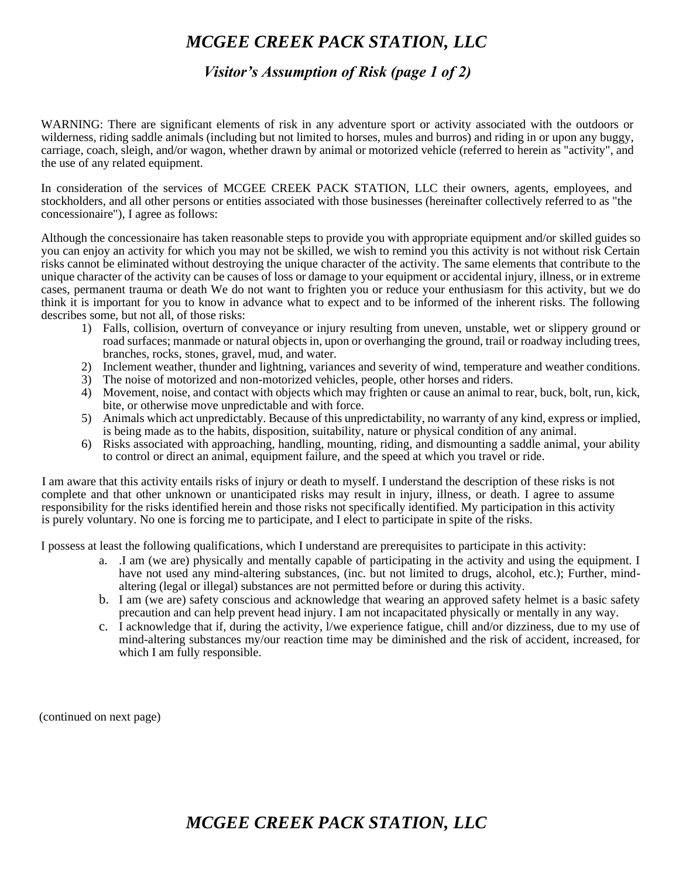### *MCGEE CREEK PACK STATION, LLC*

#### *Visitor's Assumption of Risk (page 1 of 2)*

WARNING: There are significant elements of risk in any adventure sport or activity associated with the outdoors or wilderness, riding saddle animals (including but not limited to horses, mules and burros) and riding in or upon any buggy, carriage, coach, sleigh, and/or wagon, whether drawn by animal or motorized vehicle (referred to herein as "activity", and the use of any related equipment.

In consideration of the services of MCGEE CREEK PACK STATION, LLC their owners, agents, employees, and stockholders, and all other persons or entities associated with those businesses (hereinafter collectively referred to as "the concessionaire"), I agree as follows:

Although the concessionaire has taken reasonable steps to provide you with appropriate equipment and/or skilled guides so you can enjoy an activity for which you may not be skilled, we wish to remind you this activity is not without risk Certain risks cannot be eliminated without destroying the unique character of the activity. The same elements that contribute to the unique character of the activity can be causes of loss or damage to your equipment or accidental injury, illness, or in extreme cases, permanent trauma or death We do not want to frighten you or reduce your enthusiasm for this activity, but we do think it is important for you to know in advance what to expect and to be informed of the inherent risks. The following describes some, but not all, of those risks:

- 1) Falls, collision, overturn of conveyance or injury resulting from uneven, unstable, wet or slippery ground or road surfaces; manmade or natural objects in, upon or overhanging the ground, trail or roadway including trees, branches, rocks, stones, gravel, mud, and water.
- 2) Inclement weather, thunder and lightning, variances and severity of wind, temperature and weather conditions.
- 3) The noise of motorized and non-motorized vehicles, people, other horses and riders.
- 4) Movement, noise, and contact with objects which may frighten or cause an animal to rear, buck, bolt, run, kick, bite, or otherwise move unpredictable and with force.
- 5) Animals which act unpredictably. Because of this unpredictability, no warranty of any kind, express or implied, is being made as to the habits, disposition, suitability, nature or physical condition of any animal.
- 6) Risks associated with approaching, handling, mounting, riding, and dismounting a saddle animal, your ability to control or direct an animal, equipment failure, and the speed at which you travel or ride.

I am aware that this activity entails risks of injury or death to myself. I understand the description of these risks is not complete and that other unknown or unanticipated risks may result in injury, illness, or death. I agree to assume responsibility for the risks identified herein and those risks not specifically identified. My participation in this activity is purely voluntary. No one is forcing me to participate, and I elect to participate in spite of the risks.

I possess at least the following qualifications, which I understand are prerequisites to participate in this activity:

- a. .I am (we are) physically and mentally capable of participating in the activity and using the equipment. I have not used any mind-altering substances, (inc. but not limited to drugs, alcohol, etc.); Further, mindaltering (legal or illegal) substances are not permitted before or during this activity.
- b. I am (we are) safety conscious and acknowledge that wearing an approved safety helmet is a basic safety precaution and can help prevent head injury. I am not incapacitated physically or mentally in any way.
- c. I acknowledge that if, during the activity, l/we experience fatigue, chill and/or dizziness, due to my use of mind-altering substances my/our reaction time may be diminished and the risk of accident, increased, for which I am fully responsible.

(continued on next page)

## *MCGEE CREEK PACK STATION, LLC*